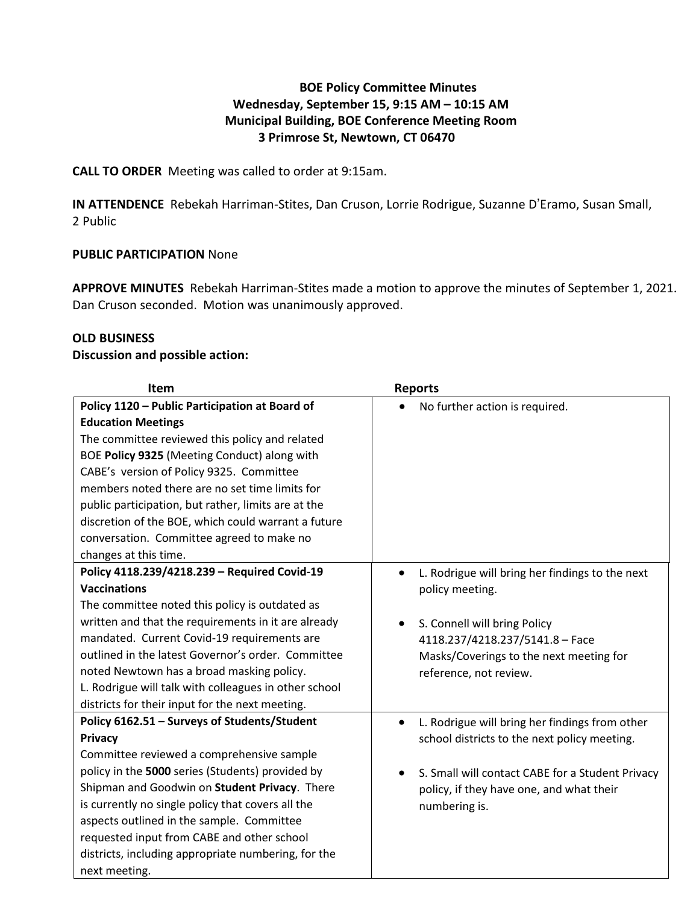# **BOE Policy Committee Minutes Wednesday, September 15, 9:15 AM – 10:15 AM Municipal Building, BOE Conference Meeting Room 3 Primrose St, Newtown, CT 06470**

**CALL TO ORDER** Meeting was called to order at 9:15am.

**IN ATTENDENCE** Rebekah Harriman-Stites, Dan Cruson, Lorrie Rodrigue, Suzanne D'Eramo, Susan Small, 2 Public

### **PUBLIC PARTICIPATION** None

**APPROVE MINUTES** Rebekah Harriman-Stites made a motion to approve the minutes of September 1, 2021. Dan Cruson seconded. Motion was unanimously approved.

### **OLD BUSINESS**

### **Discussion and possible action:**

| Item                                                  | <b>Reports</b>                                              |
|-------------------------------------------------------|-------------------------------------------------------------|
| Policy 1120 - Public Participation at Board of        | No further action is required.                              |
| <b>Education Meetings</b>                             |                                                             |
| The committee reviewed this policy and related        |                                                             |
| BOE Policy 9325 (Meeting Conduct) along with          |                                                             |
| CABE's version of Policy 9325. Committee              |                                                             |
| members noted there are no set time limits for        |                                                             |
| public participation, but rather, limits are at the   |                                                             |
| discretion of the BOE, which could warrant a future   |                                                             |
| conversation. Committee agreed to make no             |                                                             |
| changes at this time.                                 |                                                             |
| Policy 4118.239/4218.239 - Required Covid-19          | L. Rodrigue will bring her findings to the next             |
| <b>Vaccinations</b>                                   | policy meeting.                                             |
| The committee noted this policy is outdated as        |                                                             |
| written and that the requirements in it are already   | S. Connell will bring Policy<br>$\bullet$                   |
| mandated. Current Covid-19 requirements are           | 4118.237/4218.237/5141.8 - Face                             |
| outlined in the latest Governor's order. Committee    | Masks/Coverings to the next meeting for                     |
| noted Newtown has a broad masking policy.             | reference, not review.                                      |
| L. Rodrigue will talk with colleagues in other school |                                                             |
| districts for their input for the next meeting.       |                                                             |
| Policy 6162.51 - Surveys of Students/Student          | L. Rodrigue will bring her findings from other<br>$\bullet$ |
| Privacy                                               | school districts to the next policy meeting.                |
| Committee reviewed a comprehensive sample             |                                                             |
| policy in the 5000 series (Students) provided by      | S. Small will contact CABE for a Student Privacy            |
| Shipman and Goodwin on Student Privacy. There         | policy, if they have one, and what their                    |
| is currently no single policy that covers all the     | numbering is.                                               |
| aspects outlined in the sample. Committee             |                                                             |
| requested input from CABE and other school            |                                                             |
| districts, including appropriate numbering, for the   |                                                             |
| next meeting.                                         |                                                             |